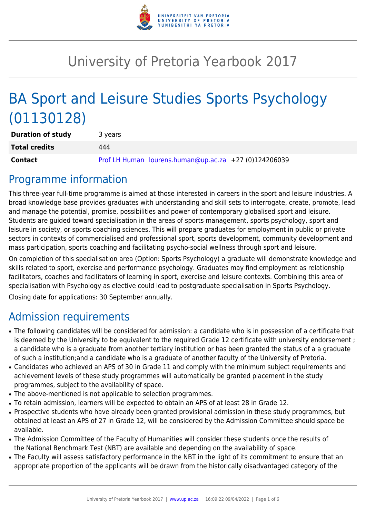

# University of Pretoria Yearbook 2017

# BA Sport and Leisure Studies Sports Psychology (01130128)

| <b>Duration of study</b> | 3 years |                                                       |  |
|--------------------------|---------|-------------------------------------------------------|--|
| <b>Total credits</b>     | 444     |                                                       |  |
| <b>Contact</b>           |         | Prof LH Human lourens.human@up.ac.za +27 (0)124206039 |  |

# Programme information

This three-year full-time programme is aimed at those interested in careers in the sport and leisure industries. A broad knowledge base provides graduates with understanding and skill sets to interrogate, create, promote, lead and manage the potential, promise, possibilities and power of contemporary globalised sport and leisure. Students are guided toward specialisation in the areas of sports management, sports psychology, sport and leisure in society, or sports coaching sciences. This will prepare graduates for employment in public or private sectors in contexts of commercialised and professional sport, sports development, community development and mass participation, sports coaching and facilitating psycho-social wellness through sport and leisure.

On completion of this specialisation area (Option: Sports Psychology) a graduate will demonstrate knowledge and skills related to sport, exercise and performance psychology. Graduates may find employment as relationship facilitators, coaches and facilitators of learning in sport, exercise and leisure contexts. Combining this area of specialisation with Psychology as elective could lead to postgraduate specialisation in Sports Psychology.

Closing date for applications: 30 September annually.

# Admission requirements

- The following candidates will be considered for admission: a candidate who is in possession of a certificate that is deemed by the University to be equivalent to the required Grade 12 certificate with university endorsement ; a candidate who is a graduate from another tertiary institution or has been granted the status of a a graduate of such a institution;and a candidate who is a graduate of another faculty of the University of Pretoria.
- Candidates who achieved an APS of 30 in Grade 11 and comply with the minimum subject requirements and achievement levels of these study programmes will automatically be granted placement in the study programmes, subject to the availability of space.
- The above-mentioned is not applicable to selection programmes.
- To retain admission, learners will be expected to obtain an APS of at least 28 in Grade 12.
- Prospective students who have already been granted provisional admission in these study programmes, but obtained at least an APS of 27 in Grade 12, will be considered by the Admission Committee should space be available.
- The Admission Committee of the Faculty of Humanities will consider these students once the results of the National Benchmark Test (NBT) are available and depending on the availability of space.
- The Faculty will assess satisfactory performance in the NBT in the light of its commitment to ensure that an appropriate proportion of the applicants will be drawn from the historically disadvantaged category of the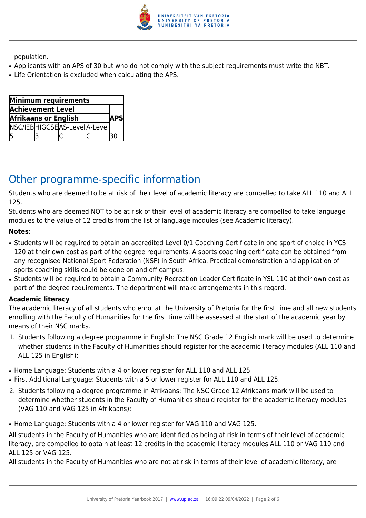

population.

- Applicants with an APS of 30 but who do not comply with the subject requirements must write the NBT.
- Life Orientation is excluded when calculating the APS.

| Minimum requirements                        |  |                              |  |  |  |  |
|---------------------------------------------|--|------------------------------|--|--|--|--|
| <b>Achievement Level</b>                    |  |                              |  |  |  |  |
| <b>Afrikaans or English</b><br><b>IAPSI</b> |  |                              |  |  |  |  |
|                                             |  | NSC/IEBHIGCSEAS-LevelA-Level |  |  |  |  |
| 5                                           |  |                              |  |  |  |  |

# Other programme-specific information

Students who are deemed to be at risk of their level of academic literacy are compelled to take ALL 110 and ALL 125.

Students who are deemed NOT to be at risk of their level of academic literacy are compelled to take language modules to the value of 12 credits from the list of language modules (see Academic literacy).

#### **Notes**:

- Students will be required to obtain an accredited Level 0/1 Coaching Certificate in one sport of choice in YCS 120 at their own cost as part of the degree requirements. A sports coaching certificate can be obtained from any recognised National Sport Federation (NSF) in South Africa. Practical demonstration and application of sports coaching skills could be done on and off campus.
- Students will be required to obtain a Community Recreation Leader Certificate in YSL 110 at their own cost as part of the degree requirements. The department will make arrangements in this regard.

#### **Academic literacy**

The academic literacy of all students who enrol at the University of Pretoria for the first time and all new students enrolling with the Faculty of Humanities for the first time will be assessed at the start of the academic year by means of their NSC marks.

- 1. Students following a degree programme in English: The NSC Grade 12 English mark will be used to determine whether students in the Faculty of Humanities should register for the academic literacy modules (ALL 110 and ALL 125 in English):
- Home Language: Students with a 4 or lower register for ALL 110 and ALL 125.
- First Additional Language: Students with a 5 or lower register for ALL 110 and ALL 125.
- 2. Students following a degree programme in Afrikaans: The NSC Grade 12 Afrikaans mark will be used to determine whether students in the Faculty of Humanities should register for the academic literacy modules (VAG 110 and VAG 125 in Afrikaans):
- Home Language: Students with a 4 or lower register for VAG 110 and VAG 125.

All students in the Faculty of Humanities who are identified as being at risk in terms of their level of academic literacy, are compelled to obtain at least 12 credits in the academic literacy modules ALL 110 or VAG 110 and ALL 125 or VAG 125.

All students in the Faculty of Humanities who are not at risk in terms of their level of academic literacy, are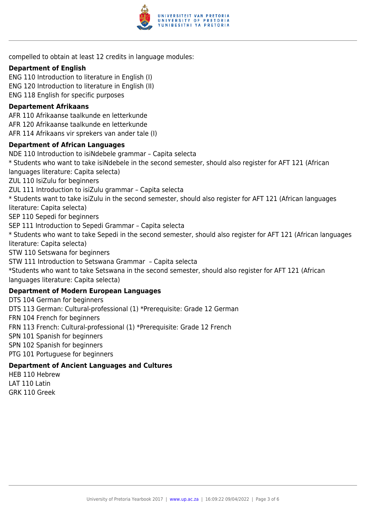

compelled to obtain at least 12 credits in language modules:

#### **Department of English**

ENG 110 Introduction to literature in English (I) ENG 120 Introduction to literature in English (II) ENG 118 English for specific purposes

#### **Departement Afrikaans**

AFR 110 Afrikaanse taalkunde en letterkunde AFR 120 Afrikaanse taalkunde en letterkunde AFR 114 Afrikaans vir sprekers van ander tale (I)

#### **Department of African Languages**

NDE 110 Introduction to isiNdebele grammar – Capita selecta \* Students who want to take isiNdebele in the second semester, should also register for AFT 121 (African languages literature: Capita selecta) ZUL 110 IsiZulu for beginners ZUL 111 Introduction to isiZulu grammar – Capita selecta \* Students want to take isiZulu in the second semester, should also register for AFT 121 (African languages literature: Capita selecta) SEP 110 Sepedi for beginners SEP 111 Introduction to Sepedi Grammar – Capita selecta \* Students who want to take Sepedi in the second semester, should also register for AFT 121 (African languages literature: Capita selecta) STW 110 Setswana for beginners STW 111 Introduction to Setswana Grammar – Capita selecta \*Students who want to take Setswana in the second semester, should also register for AFT 121 (African languages literature: Capita selecta) **Department of Modern European Languages** DTS 104 German for beginners DTS 113 German: Cultural-professional (1) \*Prerequisite: Grade 12 German FRN 104 French for beginners

FRN 113 French: Cultural-professional (1) \*Prerequisite: Grade 12 French

SPN 101 Spanish for beginners

SPN 102 Spanish for beginners

PTG 101 Portuguese for beginners

#### **Department of Ancient Languages and Cultures**

HEB 110 Hebrew LAT 110 Latin GRK 110 Greek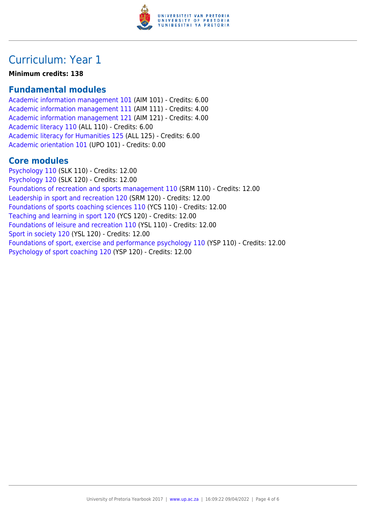

# Curriculum: Year 1

**Minimum credits: 138**

### **Fundamental modules**

[Academic information management 101](https://www.up.ac.za/faculty-of-education/yearbooks/2017/modules/view/AIM 101) (AIM 101) - Credits: 6.00 [Academic information management 111](https://www.up.ac.za/faculty-of-education/yearbooks/2017/modules/view/AIM 111) (AIM 111) - Credits: 4.00 [Academic information management 121](https://www.up.ac.za/faculty-of-education/yearbooks/2017/modules/view/AIM 121) (AIM 121) - Credits: 4.00 [Academic literacy 110](https://www.up.ac.za/faculty-of-education/yearbooks/2017/modules/view/ALL 110) (ALL 110) - Credits: 6.00 [Academic literacy for Humanities 125](https://www.up.ac.za/faculty-of-education/yearbooks/2017/modules/view/ALL 125) (ALL 125) - Credits: 6.00 [Academic orientation 101](https://www.up.ac.za/faculty-of-education/yearbooks/2017/modules/view/UPO 101) (UPO 101) - Credits: 0.00

### **Core modules**

[Psychology 110](https://www.up.ac.za/faculty-of-education/yearbooks/2017/modules/view/SLK 110) (SLK 110) - Credits: 12.00 [Psychology 120](https://www.up.ac.za/faculty-of-education/yearbooks/2017/modules/view/SLK 120) (SLK 120) - Credits: 12.00 [Foundations of recreation and sports management 110](https://www.up.ac.za/faculty-of-education/yearbooks/2017/modules/view/SRM 110) (SRM 110) - Credits: 12.00 [Leadership in sport and recreation 120](https://www.up.ac.za/faculty-of-education/yearbooks/2017/modules/view/SRM 120) (SRM 120) - Credits: 12.00 [Foundations of sports coaching sciences 110](https://www.up.ac.za/faculty-of-education/yearbooks/2017/modules/view/YCS 110) (YCS 110) - Credits: 12.00 [Teaching and learning in sport 120](https://www.up.ac.za/faculty-of-education/yearbooks/2017/modules/view/YCS 120) (YCS 120) - Credits: 12.00 [Foundations of leisure and recreation 110](https://www.up.ac.za/faculty-of-education/yearbooks/2017/modules/view/YSL 110) (YSL 110) - Credits: 12.00 [Sport in society 120](https://www.up.ac.za/faculty-of-education/yearbooks/2017/modules/view/YSL 120) (YSL 120) - Credits: 12.00 [Foundations of sport, exercise and performance psychology 110](https://www.up.ac.za/faculty-of-education/yearbooks/2017/modules/view/YSP 110) (YSP 110) - Credits: 12.00 [Psychology of sport coaching 120](https://www.up.ac.za/faculty-of-education/yearbooks/2017/modules/view/YSP 120) (YSP 120) - Credits: 12.00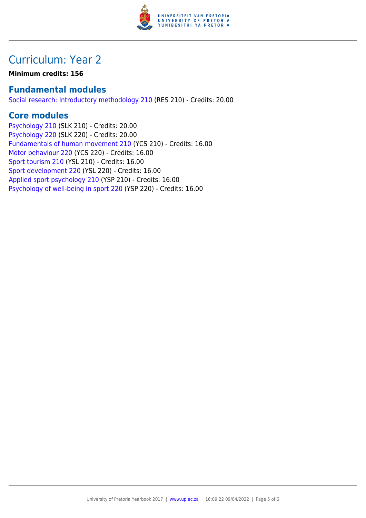

# Curriculum: Year 2

**Minimum credits: 156**

### **Fundamental modules**

[Social research: Introductory methodology 210](https://www.up.ac.za/faculty-of-education/yearbooks/2017/modules/view/RES 210) (RES 210) - Credits: 20.00

### **Core modules**

[Psychology 210](https://www.up.ac.za/faculty-of-education/yearbooks/2017/modules/view/SLK 210) (SLK 210) - Credits: 20.00 [Psychology 220](https://www.up.ac.za/faculty-of-education/yearbooks/2017/modules/view/SLK 220) (SLK 220) - Credits: 20.00 [Fundamentals of human movement 210](https://www.up.ac.za/faculty-of-education/yearbooks/2017/modules/view/YCS 210) (YCS 210) - Credits: 16.00 [Motor behaviour 220](https://www.up.ac.za/faculty-of-education/yearbooks/2017/modules/view/YCS 220) (YCS 220) - Credits: 16.00 [Sport tourism 210](https://www.up.ac.za/faculty-of-education/yearbooks/2017/modules/view/YSL 210) (YSL 210) - Credits: 16.00 [Sport development 220](https://www.up.ac.za/faculty-of-education/yearbooks/2017/modules/view/YSL 220) (YSL 220) - Credits: 16.00 [Applied sport psychology 210](https://www.up.ac.za/faculty-of-education/yearbooks/2017/modules/view/YSP 210) (YSP 210) - Credits: 16.00 [Psychology of well-being in sport 220](https://www.up.ac.za/faculty-of-education/yearbooks/2017/modules/view/YSP 220) (YSP 220) - Credits: 16.00